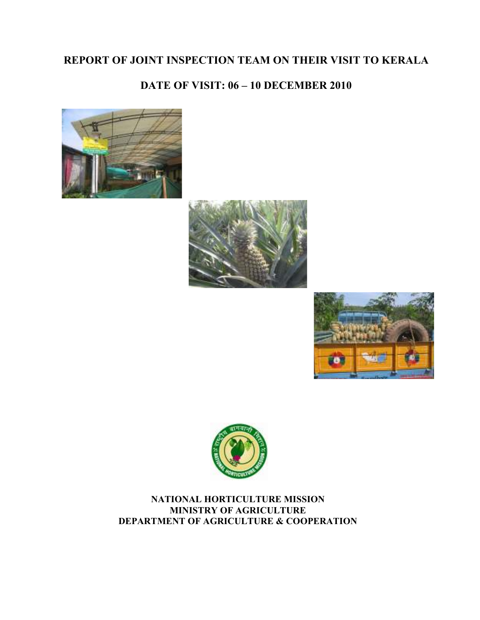## REPORT OF JOINT INSPECTION TEAM ON THEIR VISIT TO KERALA

## DATE OF VISIT: 06 – 10 DECEMBER 2010









NATIONAL HORTICULTURE MISSION MINISTRY OF AGRICULTURE DEPARTMENT OF AGRICULTURE & COOPERATION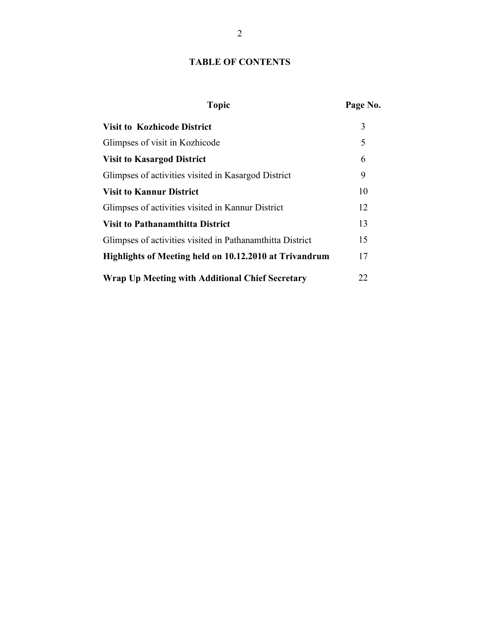#### TABLE OF CONTENTS

# Topic Page No. Visit to Kozhicode District 3 Glimpses of visit in Kozhicode 5 Visit to Kasargod District 6 Glimpses of activities visited in Kasargod District 9 Visit to Kannur District 10 Glimpses of activities visited in Kannur District 12 Visit to Pathanamthitta District 13 Glimpses of activities visited in Pathanamthitta District 15 Highlights of Meeting held on 10.12.2010 at Trivandrum 17 Wrap Up Meeting with Additional Chief Secretary 22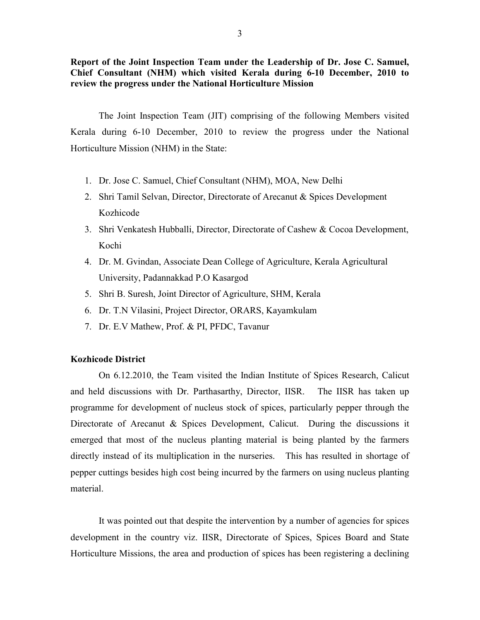Report of the Joint Inspection Team under the Leadership of Dr. Jose C. Samuel, Chief Consultant (NHM) which visited Kerala during 6-10 December, 2010 to review the progress under the National Horticulture Mission

 The Joint Inspection Team (JIT) comprising of the following Members visited Kerala during 6-10 December, 2010 to review the progress under the National Horticulture Mission (NHM) in the State:

- 1. Dr. Jose C. Samuel, Chief Consultant (NHM), MOA, New Delhi
- 2. Shri Tamil Selvan, Director, Directorate of Arecanut & Spices Development Kozhicode
- 3. Shri Venkatesh Hubballi, Director, Directorate of Cashew & Cocoa Development, Kochi
- 4. Dr. M. Gvindan, Associate Dean College of Agriculture, Kerala Agricultural University, Padannakkad P.O Kasargod
- 5. Shri B. Suresh, Joint Director of Agriculture, SHM, Kerala
- 6. Dr. T.N Vilasini, Project Director, ORARS, Kayamkulam
- 7. Dr. E.V Mathew, Prof. & PI, PFDC, Tavanur

#### Kozhicode District

 On 6.12.2010, the Team visited the Indian Institute of Spices Research, Calicut and held discussions with Dr. Parthasarthy, Director, IISR. The IISR has taken up programme for development of nucleus stock of spices, particularly pepper through the Directorate of Arecanut & Spices Development, Calicut. During the discussions it emerged that most of the nucleus planting material is being planted by the farmers directly instead of its multiplication in the nurseries. This has resulted in shortage of pepper cuttings besides high cost being incurred by the farmers on using nucleus planting material.

 It was pointed out that despite the intervention by a number of agencies for spices development in the country viz. IISR, Directorate of Spices, Spices Board and State Horticulture Missions, the area and production of spices has been registering a declining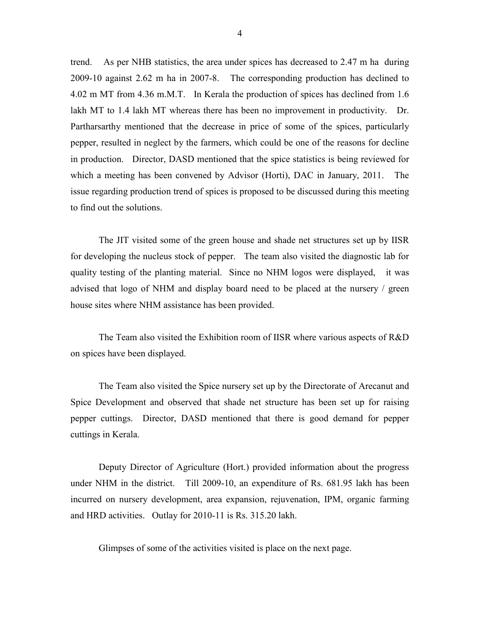trend. As per NHB statistics, the area under spices has decreased to 2.47 m ha during 2009-10 against 2.62 m ha in 2007-8. The corresponding production has declined to 4.02 m MT from 4.36 m.M.T. In Kerala the production of spices has declined from 1.6 lakh MT to 1.4 lakh MT whereas there has been no improvement in productivity. Dr. Partharsarthy mentioned that the decrease in price of some of the spices, particularly pepper, resulted in neglect by the farmers, which could be one of the reasons for decline in production. Director, DASD mentioned that the spice statistics is being reviewed for which a meeting has been convened by Advisor (Horti), DAC in January, 2011. The issue regarding production trend of spices is proposed to be discussed during this meeting to find out the solutions.

 The JIT visited some of the green house and shade net structures set up by IISR for developing the nucleus stock of pepper. The team also visited the diagnostic lab for quality testing of the planting material. Since no NHM logos were displayed, it was advised that logo of NHM and display board need to be placed at the nursery / green house sites where NHM assistance has been provided.

 The Team also visited the Exhibition room of IISR where various aspects of R&D on spices have been displayed.

 The Team also visited the Spice nursery set up by the Directorate of Arecanut and Spice Development and observed that shade net structure has been set up for raising pepper cuttings. Director, DASD mentioned that there is good demand for pepper cuttings in Kerala.

 Deputy Director of Agriculture (Hort.) provided information about the progress under NHM in the district. Till 2009-10, an expenditure of Rs. 681.95 lakh has been incurred on nursery development, area expansion, rejuvenation, IPM, organic farming and HRD activities. Outlay for 2010-11 is Rs. 315.20 lakh.

Glimpses of some of the activities visited is place on the next page.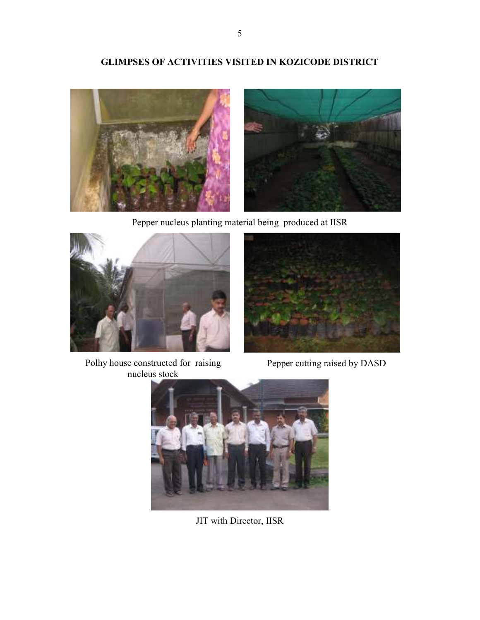## GLIMPSES OF ACTIVITIES VISITED IN KOZICODE DISTRICT



Pepper nucleus planting material being produced at IISR



Polhy house constructed for raising nucleus stock



Pepper cutting raised by DASD



JIT with Director, IISR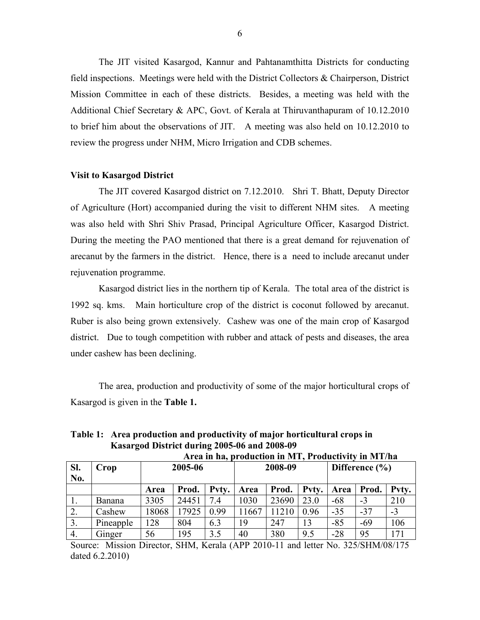The JIT visited Kasargod, Kannur and Pahtanamthitta Districts for conducting field inspections. Meetings were held with the District Collectors & Chairperson, District Mission Committee in each of these districts. Besides, a meeting was held with the Additional Chief Secretary & APC, Govt. of Kerala at Thiruvanthapuram of 10.12.2010 to brief him about the observations of JIT. A meeting was also held on 10.12.2010 to review the progress under NHM, Micro Irrigation and CDB schemes.

#### Visit to Kasargod District

 The JIT covered Kasargod district on 7.12.2010. Shri T. Bhatt, Deputy Director of Agriculture (Hort) accompanied during the visit to different NHM sites. A meeting was also held with Shri Shiv Prasad, Principal Agriculture Officer, Kasargod District. During the meeting the PAO mentioned that there is a great demand for rejuvenation of arecanut by the farmers in the district. Hence, there is a need to include arecanut under rejuvenation programme.

 Kasargod district lies in the northern tip of Kerala. The total area of the district is 1992 sq. kms. Main horticulture crop of the district is coconut followed by arecanut. Ruber is also being grown extensively. Cashew was one of the main crop of Kasargod district. Due to tough competition with rubber and attack of pests and diseases, the area under cashew has been declining.

 The area, production and productivity of some of the major horticultural crops of Kasargod is given in the Table 1.

Table 1: Area production and productivity of major horticultural crops in Kasargod District during 2005-06 and 2008-09

|            | Area in ha, production in MT, Productivity in MT/ha |         |       |       |       |         |       |                    |       |       |  |
|------------|-----------------------------------------------------|---------|-------|-------|-------|---------|-------|--------------------|-------|-------|--|
| SI.<br>No. | Crop                                                | 2005-06 |       |       |       | 2008-09 |       | Difference $(\% )$ |       |       |  |
|            |                                                     | Area    | Prod. | Pvty. | Area  | Prod.   | Pvty. | Area               | Prod. | Pvty. |  |
| 1.         | Banana                                              | 3305    | 24451 | 7.4   | 1030  | 23690   | 23.0  | $-68$              | $-3$  | 210   |  |
| 2.         | Cashew                                              | 18068   | 17925 | 0.99  | 11667 | 11210   | 0.96  | $-35$              | $-37$ | $-3$  |  |
| 3.         | Pineapple                                           | 128     | 804   | 6.3   | 19    | 247     | 13    | $-85$              | -69   | 106   |  |
| 4.         | Ginger                                              | 56      | 195   | 3.5   | 40    | 380     | 9.5   | $-28$              | 95    | 171   |  |

Source: Mission Director, SHM, Kerala (APP 2010-11 and letter No. 325/SHM/08/175 dated 6.2.2010)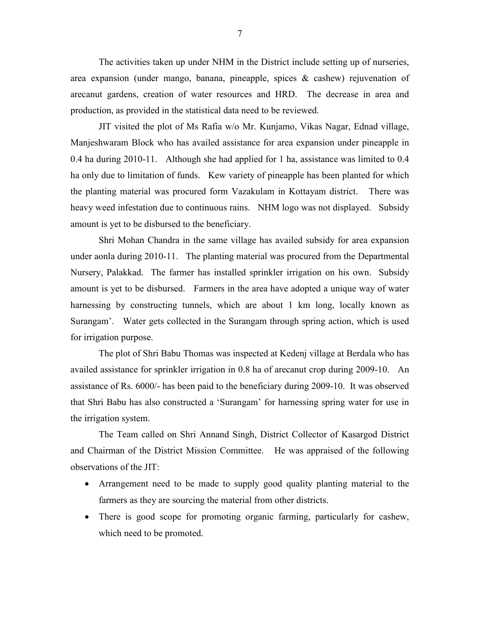The activities taken up under NHM in the District include setting up of nurseries, area expansion (under mango, banana, pineapple, spices & cashew) rejuvenation of arecanut gardens, creation of water resources and HRD. The decrease in area and production, as provided in the statistical data need to be reviewed.

 JIT visited the plot of Ms Rafia w/o Mr. Kunjamo, Vikas Nagar, Ednad village, Manjeshwaram Block who has availed assistance for area expansion under pineapple in 0.4 ha during 2010-11. Although she had applied for 1 ha, assistance was limited to 0.4 ha only due to limitation of funds. Kew variety of pineapple has been planted for which the planting material was procured form Vazakulam in Kottayam district. There was heavy weed infestation due to continuous rains. NHM logo was not displayed. Subsidy amount is yet to be disbursed to the beneficiary.

 Shri Mohan Chandra in the same village has availed subsidy for area expansion under aonla during 2010-11. The planting material was procured from the Departmental Nursery, Palakkad. The farmer has installed sprinkler irrigation on his own. Subsidy amount is yet to be disbursed. Farmers in the area have adopted a unique way of water harnessing by constructing tunnels, which are about 1 km long, locally known as Surangam'. Water gets collected in the Surangam through spring action, which is used for irrigation purpose.

 The plot of Shri Babu Thomas was inspected at Kedenj village at Berdala who has availed assistance for sprinkler irrigation in 0.8 ha of arecanut crop during 2009-10. An assistance of Rs. 6000/- has been paid to the beneficiary during 2009-10. It was observed that Shri Babu has also constructed a 'Surangam' for harnessing spring water for use in the irrigation system.

 The Team called on Shri Annand Singh, District Collector of Kasargod District and Chairman of the District Mission Committee. He was appraised of the following observations of the JIT:

- Arrangement need to be made to supply good quality planting material to the farmers as they are sourcing the material from other districts.
- There is good scope for promoting organic farming, particularly for cashew, which need to be promoted.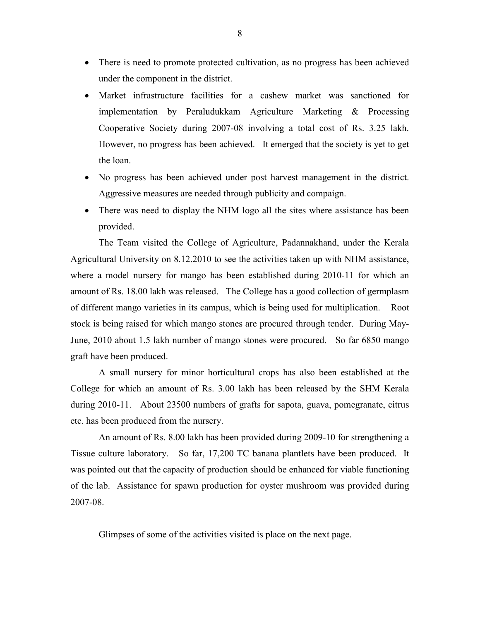- There is need to promote protected cultivation, as no progress has been achieved under the component in the district.
- Market infrastructure facilities for a cashew market was sanctioned for implementation by Peraludukkam Agriculture Marketing & Processing Cooperative Society during 2007-08 involving a total cost of Rs. 3.25 lakh. However, no progress has been achieved. It emerged that the society is yet to get the loan.
- No progress has been achieved under post harvest management in the district. Aggressive measures are needed through publicity and compaign.
- There was need to display the NHM logo all the sites where assistance has been provided.

 The Team visited the College of Agriculture, Padannakhand, under the Kerala Agricultural University on 8.12.2010 to see the activities taken up with NHM assistance, where a model nursery for mango has been established during 2010-11 for which an amount of Rs. 18.00 lakh was released. The College has a good collection of germplasm of different mango varieties in its campus, which is being used for multiplication. Root stock is being raised for which mango stones are procured through tender. During May-June, 2010 about 1.5 lakh number of mango stones were procured. So far 6850 mango graft have been produced.

 A small nursery for minor horticultural crops has also been established at the College for which an amount of Rs. 3.00 lakh has been released by the SHM Kerala during 2010-11. About 23500 numbers of grafts for sapota, guava, pomegranate, citrus etc. has been produced from the nursery.

 An amount of Rs. 8.00 lakh has been provided during 2009-10 for strengthening a Tissue culture laboratory. So far, 17,200 TC banana plantlets have been produced. It was pointed out that the capacity of production should be enhanced for viable functioning of the lab. Assistance for spawn production for oyster mushroom was provided during 2007-08.

Glimpses of some of the activities visited is place on the next page.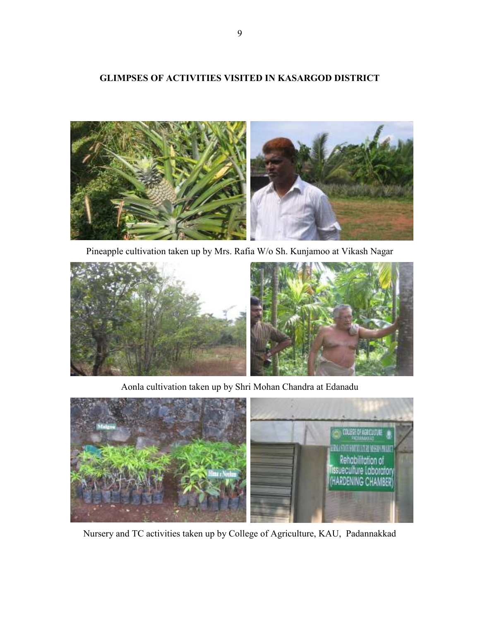### GLIMPSES OF ACTIVITIES VISITED IN KASARGOD DISTRICT



Pineapple cultivation taken up by Mrs. Rafia W/o Sh. Kunjamoo at Vikash Nagar



Aonla cultivation taken up by Shri Mohan Chandra at Edanadu



Nursery and TC activities taken up by College of Agriculture, KAU, Padannakkad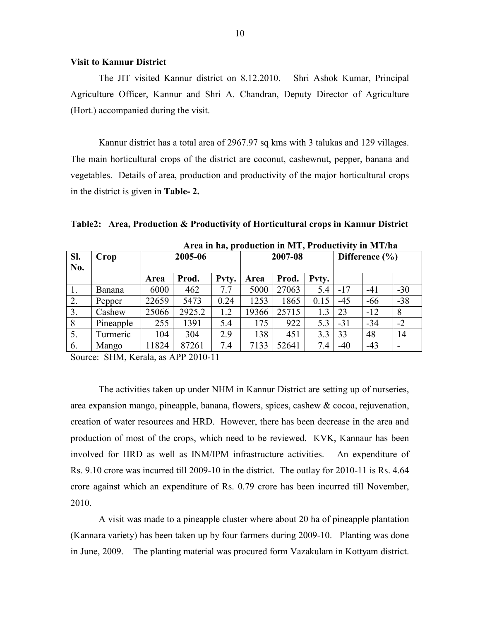#### Visit to Kannur District

 The JIT visited Kannur district on 8.12.2010. Shri Ashok Kumar, Principal Agriculture Officer, Kannur and Shri A. Chandran, Deputy Director of Agriculture (Hort.) accompanied during the visit.

 Kannur district has a total area of 2967.97 sq kms with 3 talukas and 129 villages. The main horticultural crops of the district are coconut, cashewnut, pepper, banana and vegetables. Details of area, production and productivity of the major horticultural crops in the district is given in Table- 2.

|  | Table2: Area, Production & Productivity of Horticultural crops in Kannur District |  |  |  |  |  |
|--|-----------------------------------------------------------------------------------|--|--|--|--|--|
|  |                                                                                   |  |  |  |  |  |

| Sl.<br>No. | Crop      | $\sim$ .<br>2005-06 |        |       | 2007-08 |       |       | Difference $(\% )$ |       |       |
|------------|-----------|---------------------|--------|-------|---------|-------|-------|--------------------|-------|-------|
|            |           | Area                | Prod.  | Pvty. | Area    | Prod. | Pvty. |                    |       |       |
| 1.         | Banana    | 6000                | 462    | 7.7   | 5000    | 27063 | 5.4   | $-17$              | $-41$ | $-30$ |
| 2.         | Pepper    | 22659               | 5473   | 0.24  | 1253    | 1865  | 0.15  | $-45$              | $-66$ | $-38$ |
| 3.         | Cashew    | 25066               | 2925.2 | 1.2   | 19366   | 25715 | 1.3   | 23                 | $-12$ | 8     |
| 8          | Pineapple | 255                 | 1391   | 5.4   | 175     | 922   | 5.3   | $-31$              | $-34$ | $-2$  |
| 5.         | Turmeric  | 104                 | 304    | 2.9   | 138     | 451   | 3.3   | 33                 | 48    | 14    |
| 6.         | Mango     | 1824                | 87261  | 7.4   | 7133    | 52641 | 7.4   | $-40$              | $-43$ |       |

Area in ha, production in MT, Productivity in MT/ha

Source: SHM, Kerala, as APP 2010-11

 The activities taken up under NHM in Kannur District are setting up of nurseries, area expansion mango, pineapple, banana, flowers, spices, cashew & cocoa, rejuvenation, creation of water resources and HRD. However, there has been decrease in the area and production of most of the crops, which need to be reviewed. KVK, Kannaur has been involved for HRD as well as INM/IPM infrastructure activities. An expenditure of Rs. 9.10 crore was incurred till 2009-10 in the district. The outlay for 2010-11 is Rs. 4.64 crore against which an expenditure of Rs. 0.79 crore has been incurred till November, 2010.

A visit was made to a pineapple cluster where about 20 ha of pineapple plantation (Kannara variety) has been taken up by four farmers during 2009-10. Planting was done in June, 2009. The planting material was procured form Vazakulam in Kottyam district.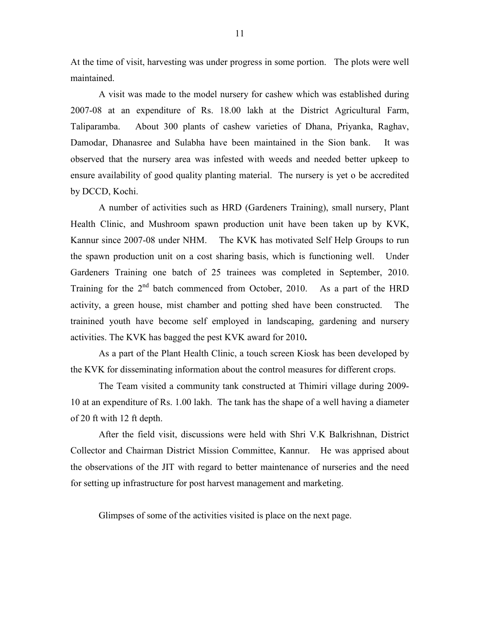At the time of visit, harvesting was under progress in some portion. The plots were well maintained.

 A visit was made to the model nursery for cashew which was established during 2007-08 at an expenditure of Rs. 18.00 lakh at the District Agricultural Farm, Taliparamba. About 300 plants of cashew varieties of Dhana, Priyanka, Raghav, Damodar, Dhanasree and Sulabha have been maintained in the Sion bank. It was observed that the nursery area was infested with weeds and needed better upkeep to ensure availability of good quality planting material. The nursery is yet o be accredited by DCCD, Kochi.

 A number of activities such as HRD (Gardeners Training), small nursery, Plant Health Clinic, and Mushroom spawn production unit have been taken up by KVK, Kannur since 2007-08 under NHM. The KVK has motivated Self Help Groups to run the spawn production unit on a cost sharing basis, which is functioning well. Under Gardeners Training one batch of 25 trainees was completed in September, 2010. Training for the  $2^{nd}$  batch commenced from October, 2010. As a part of the HRD activity, a green house, mist chamber and potting shed have been constructed. The trainined youth have become self employed in landscaping, gardening and nursery activities. The KVK has bagged the pest KVK award for 2010.

 As a part of the Plant Health Clinic, a touch screen Kiosk has been developed by the KVK for disseminating information about the control measures for different crops.

 The Team visited a community tank constructed at Thimiri village during 2009- 10 at an expenditure of Rs. 1.00 lakh. The tank has the shape of a well having a diameter of 20 ft with 12 ft depth.

 After the field visit, discussions were held with Shri V.K Balkrishnan, District Collector and Chairman District Mission Committee, Kannur. He was apprised about the observations of the JIT with regard to better maintenance of nurseries and the need for setting up infrastructure for post harvest management and marketing.

Glimpses of some of the activities visited is place on the next page.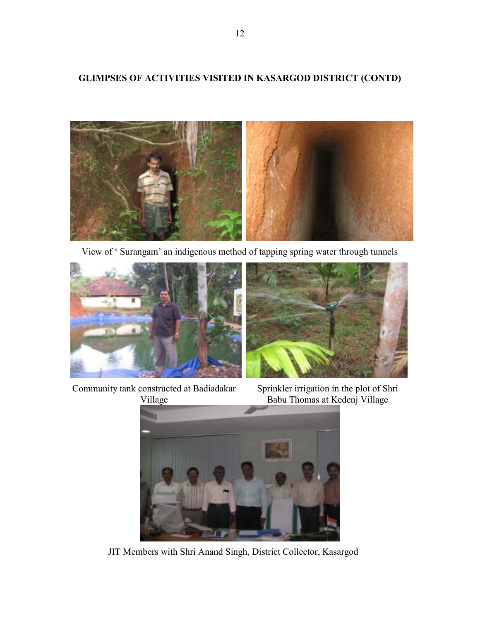## GLIMPSES OF ACTIVITIES VISITED IN KASARGOD DISTRICT (CONTD)



View of ' Surangam' an indigenous method of tapping spring water through tunnels





Community tank constructed at Badiadakar Village

Sprinkler irrigation in the plot of Shri Babu Thomas at Kedenj Village



JIT Members with Shri Anand Singh, District Collector, Kasargod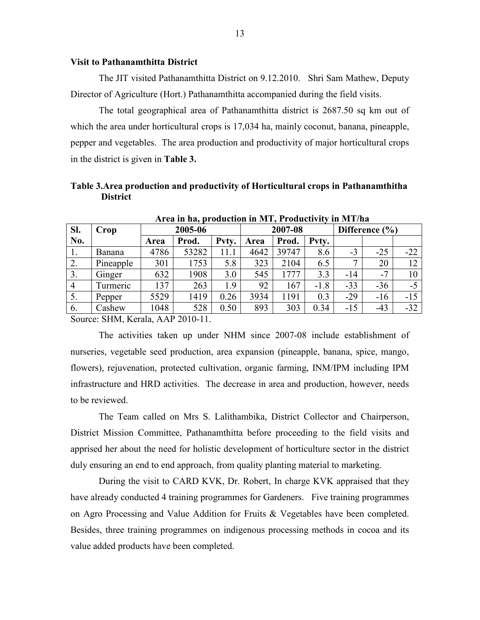#### Visit to Pathanamthitta District

 The JIT visited Pathanamthitta District on 9.12.2010. Shri Sam Mathew, Deputy Director of Agriculture (Hort.) Pathanamthitta accompanied during the field visits.

 The total geographical area of Pathanamthitta district is 2687.50 sq km out of which the area under horticultural crops is 17,034 ha, mainly coconut, banana, pineapple, pepper and vegetables. The area production and productivity of major horticultural crops in the district is given in Table 3.

Table 3.Area production and productivity of Horticultural crops in Pathanamthitha **District** 

| $111$ va in na, programmin in $111$ , respectively<br>----------- |           |      |         |       |      |         |        |                    |       |       |  |  |
|-------------------------------------------------------------------|-----------|------|---------|-------|------|---------|--------|--------------------|-------|-------|--|--|
| Sl.                                                               | Crop      |      | 2005-06 |       |      | 2007-08 |        | Difference $(\% )$ |       |       |  |  |
| No.                                                               |           | Area | Prod.   | Pvty. | Area | Prod.   | Pvty.  |                    |       |       |  |  |
| Ι.                                                                | Banana    | 4786 | 53282   | 11.1  | 4642 | 39747   | 8.6    | $-3$               | $-25$ | $-22$ |  |  |
| $\overline{2}$ .                                                  | Pineapple | 301  | 1753    | 5.8   | 323  | 2104    | 6.5    |                    | 20    | 12    |  |  |
| 3.                                                                | Ginger    | 632  | 1908    | 3.0   | 545  | 1777    | 3.3    | $-14$              | $-7$  | 10    |  |  |
| $\overline{4}$                                                    | Turmeric  | 137  | 263     | 1.9   | 92   | 167     | $-1.8$ | $-33$              | $-36$ | $-5$  |  |  |
| 5.                                                                | Pepper    | 5529 | 1419    | 0.26  | 3934 | 1191    | 0.3    | $-29$              | $-16$ | $-15$ |  |  |
| 6.                                                                | Cashew    | 1048 | 528     | 0.50  | 893  | 303     | 0.34   | $-15$              | $-43$ | $-32$ |  |  |

Area in ha, production in MT, Productivity in MT/ha

Source: SHM, Kerala, AAP 2010-11.

 The activities taken up under NHM since 2007-08 include establishment of nurseries, vegetable seed production, area expansion (pineapple, banana, spice, mango, flowers), rejuvenation, protected cultivation, organic farming, INM/IPM including IPM infrastructure and HRD activities. The decrease in area and production, however, needs to be reviewed.

 The Team called on Mrs S. Lalithambika, District Collector and Chairperson, District Mission Committee, Pathanamthitta before proceeding to the field visits and apprised her about the need for holistic development of horticulture sector in the district duly ensuring an end to end approach, from quality planting material to marketing.

 During the visit to CARD KVK, Dr. Robert, In charge KVK appraised that they have already conducted 4 training programmes for Gardeners. Five training programmes on Agro Processing and Value Addition for Fruits & Vegetables have been completed. Besides, three training programmes on indigenous processing methods in cocoa and its value added products have been completed.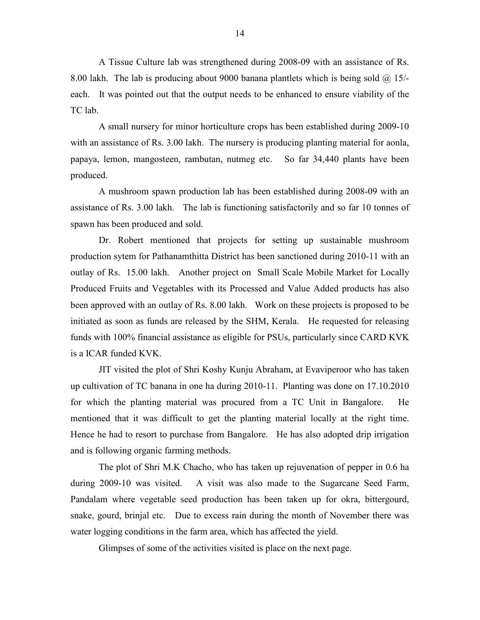A Tissue Culture lab was strengthened during 2008-09 with an assistance of Rs. 8.00 lakh. The lab is producing about 9000 banana plantlets which is being sold  $\omega$  15/each. It was pointed out that the output needs to be enhanced to ensure viability of the TC lab.

 A small nursery for minor horticulture crops has been established during 2009-10 with an assistance of Rs. 3.00 lakh. The nursery is producing planting material for aonla, papaya, lemon, mangosteen, rambutan, nutmeg etc. So far 34,440 plants have been produced.

 A mushroom spawn production lab has been established during 2008-09 with an assistance of Rs. 3.00 lakh. The lab is functioning satisfactorily and so far 10 tonnes of spawn has been produced and sold.

 Dr. Robert mentioned that projects for setting up sustainable mushroom production sytem for Pathanamthitta District has been sanctioned during 2010-11 with an outlay of Rs. 15.00 lakh. Another project on Small Scale Mobile Market for Locally Produced Fruits and Vegetables with its Processed and Value Added products has also been approved with an outlay of Rs. 8.00 lakh. Work on these projects is proposed to be initiated as soon as funds are released by the SHM, Kerala. He requested for releasing funds with 100% financial assistance as eligible for PSUs, particularly since CARD KVK is a ICAR funded KVK.

 JIT visited the plot of Shri Koshy Kunju Abraham, at Evaviperoor who has taken up cultivation of TC banana in one ha during 2010-11. Planting was done on 17.10.2010 for which the planting material was procured from a TC Unit in Bangalore. He mentioned that it was difficult to get the planting material locally at the right time. Hence he had to resort to purchase from Bangalore. He has also adopted drip irrigation and is following organic farming methods.

 The plot of Shri M.K Chacho, who has taken up rejuvenation of pepper in 0.6 ha during 2009-10 was visited. A visit was also made to the Sugarcane Seed Farm, Pandalam where vegetable seed production has been taken up for okra, bittergourd, snake, gourd, brinjal etc. Due to excess rain during the month of November there was water logging conditions in the farm area, which has affected the yield.

Glimpses of some of the activities visited is place on the next page.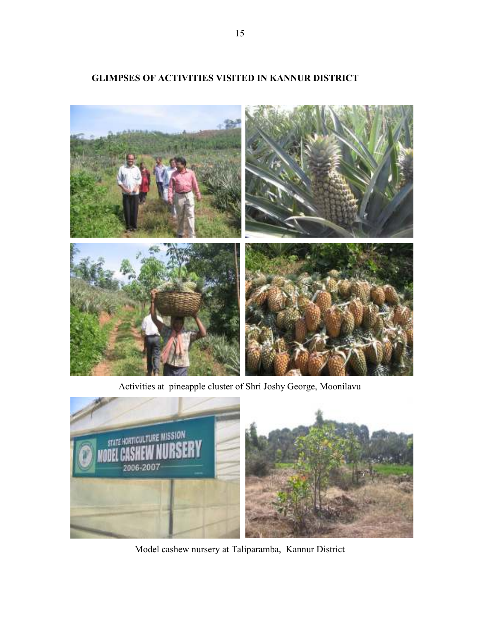

## GLIMPSES OF ACTIVITIES VISITED IN KANNUR DISTRICT

Activities at pineapple cluster of Shri Joshy George, Moonilavu



Model cashew nursery at Taliparamba, Kannur District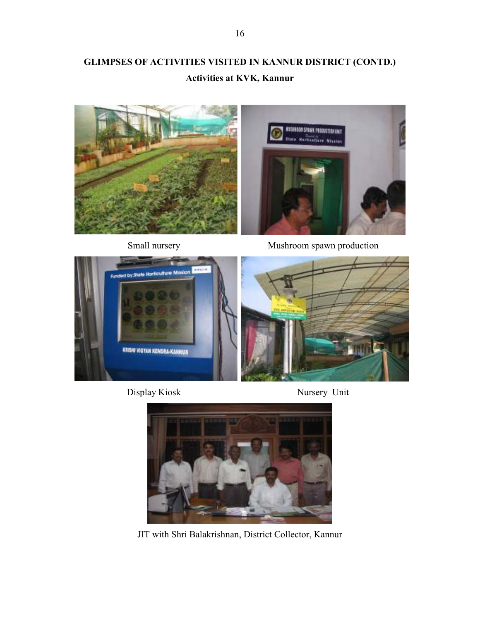## GLIMPSES OF ACTIVITIES VISITED IN KANNUR DISTRICT (CONTD.) Activities at KVK, Kannur





Small nursery Mushroom spawn production



Display Kiosk Nursery Unit





JIT with Shri Balakrishnan, District Collector, Kannur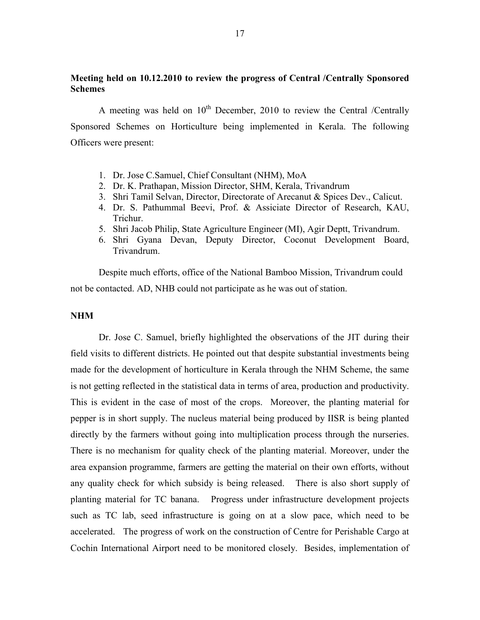### Meeting held on 10.12.2010 to review the progress of Central /Centrally Sponsored Schemes

A meeting was held on  $10^{th}$  December, 2010 to review the Central /Centrally Sponsored Schemes on Horticulture being implemented in Kerala. The following Officers were present:

- 1. Dr. Jose C.Samuel, Chief Consultant (NHM), MoA
- 2. Dr. K. Prathapan, Mission Director, SHM, Kerala, Trivandrum
- 3. Shri Tamil Selvan, Director, Directorate of Arecanut & Spices Dev., Calicut.
- 4. Dr. S. Pathummal Beevi, Prof. & Assiciate Director of Research, KAU, Trichur.
- 5. Shri Jacob Philip, State Agriculture Engineer (MI), Agir Deptt, Trivandrum.
- 6. Shri Gyana Devan, Deputy Director, Coconut Development Board, Trivandrum.

Despite much efforts, office of the National Bamboo Mission, Trivandrum could not be contacted. AD, NHB could not participate as he was out of station.

#### NHM

Dr. Jose C. Samuel, briefly highlighted the observations of the JIT during their field visits to different districts. He pointed out that despite substantial investments being made for the development of horticulture in Kerala through the NHM Scheme, the same is not getting reflected in the statistical data in terms of area, production and productivity. This is evident in the case of most of the crops. Moreover, the planting material for pepper is in short supply. The nucleus material being produced by IISR is being planted directly by the farmers without going into multiplication process through the nurseries. There is no mechanism for quality check of the planting material. Moreover, under the area expansion programme, farmers are getting the material on their own efforts, without any quality check for which subsidy is being released. There is also short supply of planting material for TC banana. Progress under infrastructure development projects such as TC lab, seed infrastructure is going on at a slow pace, which need to be accelerated. The progress of work on the construction of Centre for Perishable Cargo at Cochin International Airport need to be monitored closely. Besides, implementation of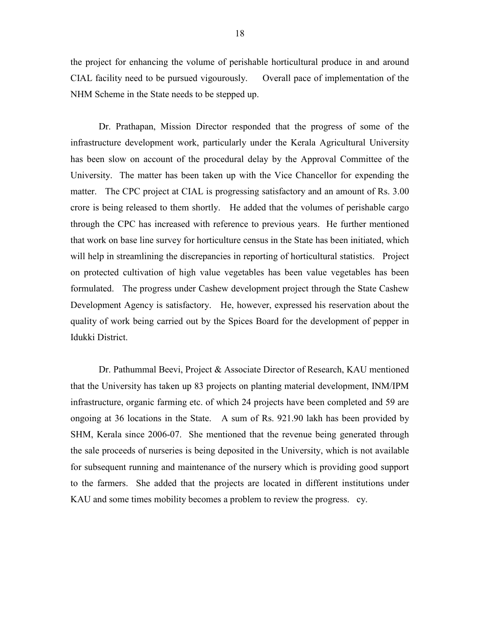the project for enhancing the volume of perishable horticultural produce in and around CIAL facility need to be pursued vigourously. Overall pace of implementation of the NHM Scheme in the State needs to be stepped up.

Dr. Prathapan, Mission Director responded that the progress of some of the infrastructure development work, particularly under the Kerala Agricultural University has been slow on account of the procedural delay by the Approval Committee of the University. The matter has been taken up with the Vice Chancellor for expending the matter. The CPC project at CIAL is progressing satisfactory and an amount of Rs. 3.00 crore is being released to them shortly. He added that the volumes of perishable cargo through the CPC has increased with reference to previous years. He further mentioned that work on base line survey for horticulture census in the State has been initiated, which will help in streamlining the discrepancies in reporting of horticultural statistics. Project on protected cultivation of high value vegetables has been value vegetables has been formulated. The progress under Cashew development project through the State Cashew Development Agency is satisfactory. He, however, expressed his reservation about the quality of work being carried out by the Spices Board for the development of pepper in Idukki District.

 Dr. Pathummal Beevi, Project & Associate Director of Research, KAU mentioned that the University has taken up 83 projects on planting material development, INM/IPM infrastructure, organic farming etc. of which 24 projects have been completed and 59 are ongoing at 36 locations in the State. A sum of Rs. 921.90 lakh has been provided by SHM, Kerala since 2006-07. She mentioned that the revenue being generated through the sale proceeds of nurseries is being deposited in the University, which is not available for subsequent running and maintenance of the nursery which is providing good support to the farmers. She added that the projects are located in different institutions under KAU and some times mobility becomes a problem to review the progress. cy.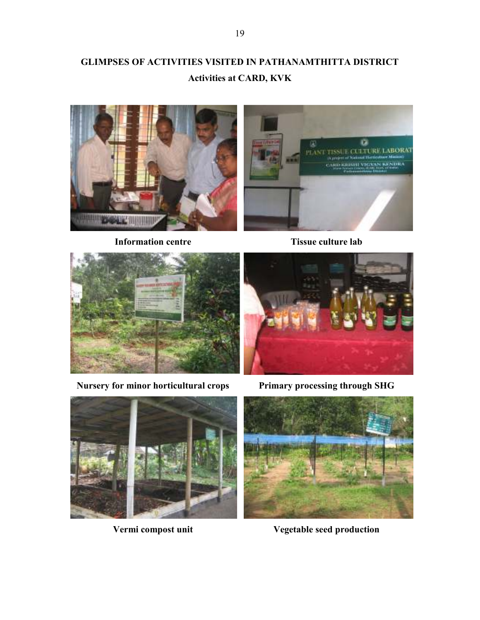## GLIMPSES OF ACTIVITIES VISITED IN PATHANAMTHITTA DISTRICT Activities at CARD, KVK



Information centre Tissue culture lab





Nursery for minor horticultural crops Primary processing through SHG







Vermi compost unit Vegetable seed production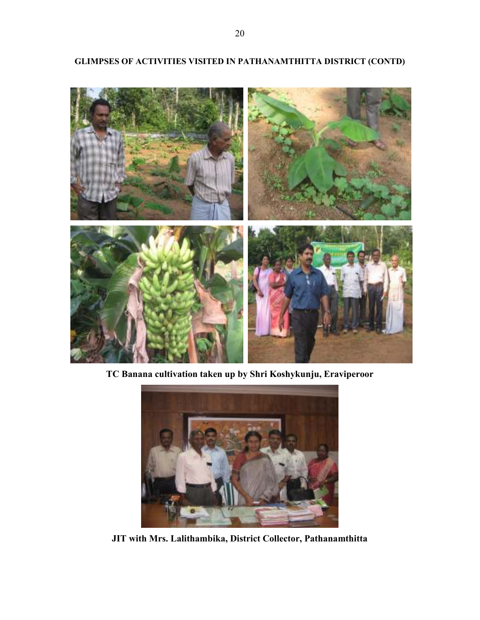

## GLIMPSES OF ACTIVITIES VISITED IN PATHANAMTHITTA DISTRICT (CONTD)

TC Banana cultivation taken up by Shri Koshykunju, Eraviperoor



JIT with Mrs. Lalithambika, District Collector, Pathanamthitta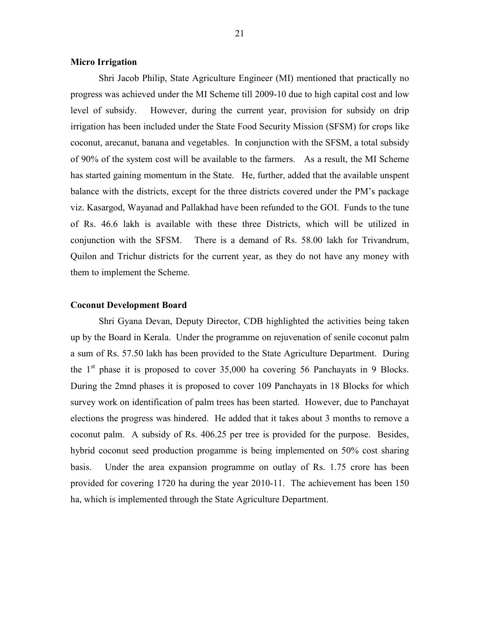#### Micro Irrigation

 Shri Jacob Philip, State Agriculture Engineer (MI) mentioned that practically no progress was achieved under the MI Scheme till 2009-10 due to high capital cost and low level of subsidy. However, during the current year, provision for subsidy on drip irrigation has been included under the State Food Security Mission (SFSM) for crops like coconut, arecanut, banana and vegetables. In conjunction with the SFSM, a total subsidy of 90% of the system cost will be available to the farmers. As a result, the MI Scheme has started gaining momentum in the State. He, further, added that the available unspent balance with the districts, except for the three districts covered under the PM's package viz. Kasargod, Wayanad and Pallakhad have been refunded to the GOI. Funds to the tune of Rs. 46.6 lakh is available with these three Districts, which will be utilized in conjunction with the SFSM. There is a demand of Rs. 58.00 lakh for Trivandrum, Quilon and Trichur districts for the current year, as they do not have any money with them to implement the Scheme.

#### Coconut Development Board

 Shri Gyana Devan, Deputy Director, CDB highlighted the activities being taken up by the Board in Kerala. Under the programme on rejuvenation of senile coconut palm a sum of Rs. 57.50 lakh has been provided to the State Agriculture Department. During the  $1<sup>st</sup>$  phase it is proposed to cover 35,000 ha covering 56 Panchayats in 9 Blocks. During the 2mnd phases it is proposed to cover 109 Panchayats in 18 Blocks for which survey work on identification of palm trees has been started. However, due to Panchayat elections the progress was hindered. He added that it takes about 3 months to remove a coconut palm. A subsidy of Rs. 406.25 per tree is provided for the purpose. Besides, hybrid coconut seed production progamme is being implemented on 50% cost sharing basis. Under the area expansion programme on outlay of Rs. 1.75 crore has been provided for covering 1720 ha during the year 2010-11. The achievement has been 150 ha, which is implemented through the State Agriculture Department.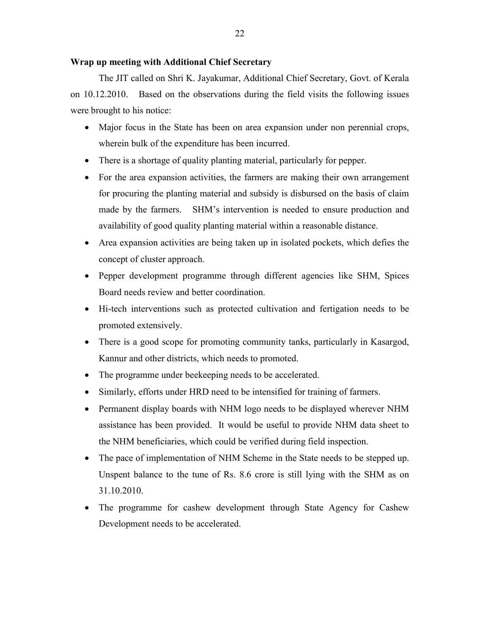#### Wrap up meeting with Additional Chief Secretary

 The JIT called on Shri K. Jayakumar, Additional Chief Secretary, Govt. of Kerala on 10.12.2010. Based on the observations during the field visits the following issues were brought to his notice:

- Major focus in the State has been on area expansion under non perennial crops, wherein bulk of the expenditure has been incurred.
- There is a shortage of quality planting material, particularly for pepper.
- For the area expansion activities, the farmers are making their own arrangement for procuring the planting material and subsidy is disbursed on the basis of claim made by the farmers. SHM's intervention is needed to ensure production and availability of good quality planting material within a reasonable distance.
- Area expansion activities are being taken up in isolated pockets, which defies the concept of cluster approach.
- Pepper development programme through different agencies like SHM, Spices Board needs review and better coordination.
- Hi-tech interventions such as protected cultivation and fertigation needs to be promoted extensively.
- There is a good scope for promoting community tanks, particularly in Kasargod, Kannur and other districts, which needs to promoted.
- The programme under beekeeping needs to be accelerated.
- Similarly, efforts under HRD need to be intensified for training of farmers.
- Permanent display boards with NHM logo needs to be displayed wherever NHM assistance has been provided. It would be useful to provide NHM data sheet to the NHM beneficiaries, which could be verified during field inspection.
- The pace of implementation of NHM Scheme in the State needs to be stepped up. Unspent balance to the tune of Rs. 8.6 crore is still lying with the SHM as on 31.10.2010.
- The programme for cashew development through State Agency for Cashew Development needs to be accelerated.